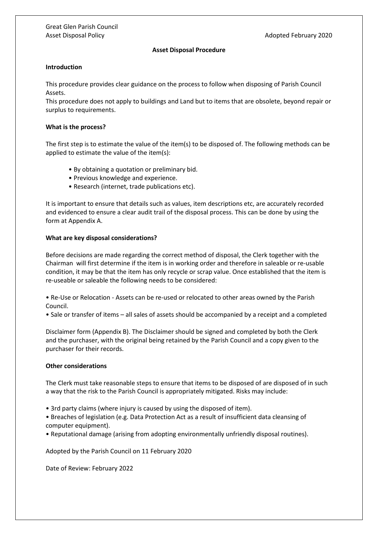### **Asset Disposal Procedure**

### **Introduction**

This procedure provides clear guidance on the process to follow when disposing of Parish Council Assets.

This procedure does not apply to buildings and Land but to items that are obsolete, beyond repair or surplus to requirements.

#### **What is the process?**

The first step is to estimate the value of the item(s) to be disposed of. The following methods can be applied to estimate the value of the item(s):

- By obtaining a quotation or preliminary bid.
- Previous knowledge and experience.
- Research (internet, trade publications etc).

It is important to ensure that details such as values, item descriptions etc, are accurately recorded and evidenced to ensure a clear audit trail of the disposal process. This can be done by using the form at Appendix A.

## **What are key disposal considerations?**

Before decisions are made regarding the correct method of disposal, the Clerk together with the Chairman will first determine if the item is in working order and therefore in saleable or re-usable condition, it may be that the item has only recycle or scrap value. Once established that the item is re-useable or saleable the following needs to be considered:

- Re-Use or Relocation Assets can be re-used or relocated to other areas owned by the Parish Council.
- Sale or transfer of items all sales of assets should be accompanied by a receipt and a completed

Disclaimer form (Appendix B). The Disclaimer should be signed and completed by both the Clerk and the purchaser, with the original being retained by the Parish Council and a copy given to the purchaser for their records.

# **Other considerations**

The Clerk must take reasonable steps to ensure that items to be disposed of are disposed of in such a way that the risk to the Parish Council is appropriately mitigated. Risks may include:

- 3rd party claims (where injury is caused by using the disposed of item).
- Breaches of legislation (e.g. Data Protection Act as a result of insufficient data cleansing of computer equipment).
- Reputational damage (arising from adopting environmentally unfriendly disposal routines).

Adopted by the Parish Council on 11 February 2020

Date of Review: February 2022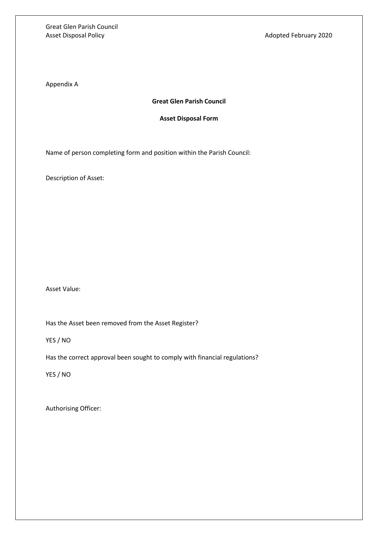Great Glen Parish Council Asset Disposal Policy **Adopted February 2020** 

Appendix A

# **Great Glen Parish Council**

## **Asset Disposal Form**

Name of person completing form and position within the Parish Council:

Description of Asset:

Asset Value:

Has the Asset been removed from the Asset Register?

YES / NO

Has the correct approval been sought to comply with financial regulations?

YES / NO

Authorising Officer: